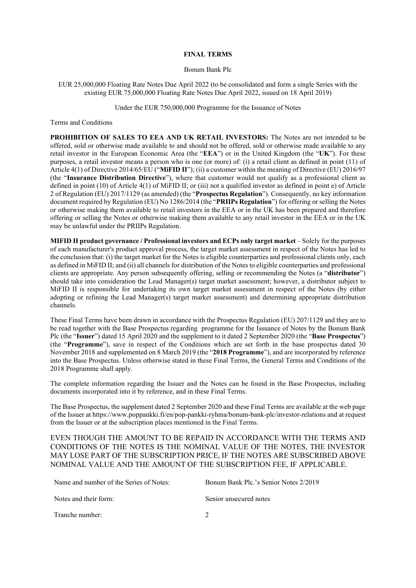## **FINAL TERMS**

## Bonum Bank Plc

EUR 25,000,000 Floating Rate Notes Due April 2022 (to be consolidated and form a single Series with the existing EUR 75,000,000 Floating Rate Notes Due April 2022, issued on 18 April 2019)

Under the EUR 750,000,000 Programme for the Issuance of Notes

Terms and Conditions

**PROHIBITION OF SALES TO EEA AND UK RETAIL INVESTORS:** The Notes are not intended to be offered, sold or otherwise made available to and should not be offered, sold or otherwise made available to any retail investor in the European Economic Area (the "**EEA**") or in the United Kingdom (the "**UK**"). For these purposes, a retail investor means a person who is one (or more) of: (i) a retail client as defined in point (11) of Article 4(1) of Directive 2014/65/EU ("**MiFID II**"); (ii) a customer within the meaning of Directive (EU) 2016/97 (the "**Insurance Distribution Directive**"), where that customer would not qualify as a professional client as defined in point (10) of Article 4(1) of MiFID II; or (iii) not a qualified investor as defined in point e) of Article 2 of Regulation (EU) 2017/1129 (as amended) (the "**Prospectus Regulation**"). Consequently, no key information document required by Regulation (EU) No 1286/2014 (the "**PRIIPs Regulation**") for offering or selling the Notes or otherwise making them available to retail investors in the EEA or in the UK has been prepared and therefore offering or selling the Notes or otherwise making them available to any retail investor in the EEA or in the UK may be unlawful under the PRIIPs Regulation.

**MIFID II product governance / Professional investors and ECPs only target market** – Solely for the purposes of each manufacturer's product approval process, the target market assessment in respect of the Notes has led to the conclusion that: (i) the target market for the Notes is eligible counterparties and professional clients only, each as defined in MiFID II; and (ii) all channels for distribution of the Notes to eligible counterparties and professional clients are appropriate. Any person subsequently offering, selling or recommending the Notes (a "**distributor**") should take into consideration the Lead Manager(s) target market assessment; however, a distributor subject to MiFID II is responsible for undertaking its own target market assessment in respect of the Notes (by either adopting or refining the Lead Manager(s) target market assessment) and determining appropriate distribution channels.

These Final Terms have been drawn in accordance with the Prospectus Regulation (EU) 207/1129 and they are to be read together with the Base Prospectus regarding programme for the Issuance of Notes by the Bonum Bank Plc (the "**Issuer**") dated 15 April 2020 and the supplement to it dated 2 September 2020 (the "**Base Prospectus**") (the "**Programme**"), save in respect of the Conditions which are set forth in the base prospectus dated 30 November 2018 and supplemented on 8 March 2019 (the "**2018 Programme**"), and are incorporated by reference into the Base Prospectus. Unless otherwise stated in these Final Terms, the General Terms and Conditions of the 2018 Programme shall apply.

The complete information regarding the Issuer and the Notes can be found in the Base Prospectus, including documents incorporated into it by reference, and in these Final Terms.

The Base Prospectus, the supplement dated 2 September 2020 and these Final Terms are available at the web page of the Issuer at https://www.poppankki.fi/en/pop-pankki-ryhma/bonum-bank-plc/investor-relations and at request from the Issuer or at the subscription places mentioned in the Final Terms.

EVEN THOUGH THE AMOUNT TO BE REPAID IN ACCORDANCE WITH THE TERMS AND CONDITIONS OF THE NOTES IS THE NOMINAL VALUE OF THE NOTES, THE INVESTOR MAY LOSE PART OF THE SUBSCRIPTION PRICE, IF THE NOTES ARE SUBSCRIBED ABOVE NOMINAL VALUE AND THE AMOUNT OF THE SUBSCRIPTION FEE, IF APPLICABLE.

| Name and number of the Series of Notes: | Bonum Bank Plc.'s Senior Notes 2/2019 |
|-----------------------------------------|---------------------------------------|
| Notes and their form:                   | Senior unsecured notes                |
| Tranche number:                         |                                       |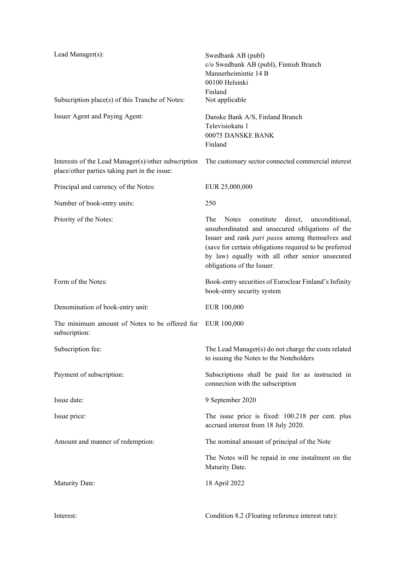| Lead Manager(s):                                                                                     | Swedbank AB (publ)<br>c/o Swedbank AB (publ), Finnish Branch<br>Mannerheimintie 14 B<br>00100 Helsinki<br>Finland                                                                                                                                                                                               |
|------------------------------------------------------------------------------------------------------|-----------------------------------------------------------------------------------------------------------------------------------------------------------------------------------------------------------------------------------------------------------------------------------------------------------------|
| Subscription place(s) of this Tranche of Notes:                                                      | Not applicable                                                                                                                                                                                                                                                                                                  |
| Issuer Agent and Paying Agent:                                                                       | Danske Bank A/S, Finland Branch<br>Televisiokatu 1<br>00075 DANSKE BANK<br>Finland                                                                                                                                                                                                                              |
| Interests of the Lead Manager(s)/other subscription<br>place/other parties taking part in the issue: | The customary sector connected commercial interest                                                                                                                                                                                                                                                              |
| Principal and currency of the Notes:                                                                 | EUR 25,000,000                                                                                                                                                                                                                                                                                                  |
| Number of book-entry units:                                                                          | 250                                                                                                                                                                                                                                                                                                             |
| Priority of the Notes:                                                                               | The<br><b>Notes</b><br>constitute<br>direct,<br>unconditional,<br>unsubordinated and unsecured obligations of the<br>Issuer and rank pari passu among themselves and<br>(save for certain obligations required to be preferred<br>by law) equally with all other senior unsecured<br>obligations of the Issuer. |
| Form of the Notes:                                                                                   | Book-entry securities of Euroclear Finland's Infinity<br>book-entry security system                                                                                                                                                                                                                             |
| Denomination of book-entry unit:                                                                     | EUR 100,000                                                                                                                                                                                                                                                                                                     |
| The minimum amount of Notes to be offered for<br>subscription:                                       | EUR 100,000                                                                                                                                                                                                                                                                                                     |
| Subscription fee:                                                                                    | The Lead Manager(s) do not charge the costs related<br>to issuing the Notes to the Noteholders                                                                                                                                                                                                                  |
| Payment of subscription:                                                                             | Subscriptions shall be paid for as instructed in<br>connection with the subscription                                                                                                                                                                                                                            |
| Issue date:                                                                                          | 9 September 2020                                                                                                                                                                                                                                                                                                |
| Issue price:                                                                                         | The issue price is fixed: 100.218 per cent. plus<br>accrued interest from 18 July 2020.                                                                                                                                                                                                                         |
| Amount and manner of redemption:                                                                     | The nominal amount of principal of the Note                                                                                                                                                                                                                                                                     |
|                                                                                                      | The Notes will be repaid in one instalment on the<br>Maturity Date.                                                                                                                                                                                                                                             |
| <b>Maturity Date:</b>                                                                                | 18 April 2022                                                                                                                                                                                                                                                                                                   |
| Interest:                                                                                            | Condition 8.2 (Floating reference interest rate):                                                                                                                                                                                                                                                               |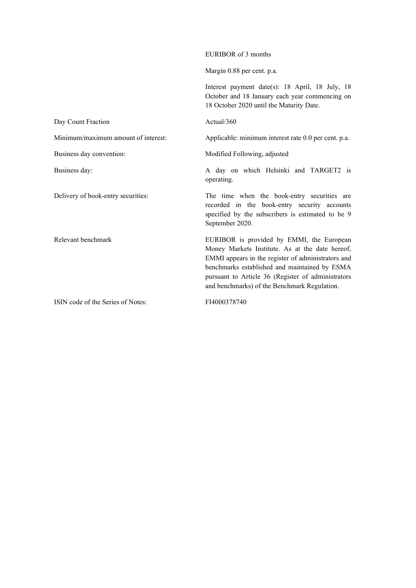|                                     | Margin 0.88 per cent. p.a.                                                                                                                                                                                                                                                                                |
|-------------------------------------|-----------------------------------------------------------------------------------------------------------------------------------------------------------------------------------------------------------------------------------------------------------------------------------------------------------|
|                                     | Interest payment date(s): 18 April, 18 July, 18<br>October and 18 January each year commencing on<br>18 October 2020 until the Maturity Date.                                                                                                                                                             |
| Day Count Fraction                  | Actual/360                                                                                                                                                                                                                                                                                                |
| Minimum/maximum amount of interest: | Applicable: minimum interest rate 0.0 per cent. p.a.                                                                                                                                                                                                                                                      |
| Business day convention:            | Modified Following, adjusted                                                                                                                                                                                                                                                                              |
| Business day:                       | A day on which Helsinki and TARGET2 is<br>operating.                                                                                                                                                                                                                                                      |
| Delivery of book-entry securities:  | The time when the book-entry securities are<br>recorded in the book-entry security accounts<br>specified by the subscribers is estimated to be 9<br>September 2020.                                                                                                                                       |
| Relevant benchmark                  | EURIBOR is provided by EMMI, the European<br>Money Markets Institute. As at the date hereof,<br>EMMI appears in the register of administrators and<br>benchmarks established and maintained by ESMA<br>pursuant to Article 36 (Register of administrators<br>and benchmarks) of the Benchmark Regulation. |
| ISIN code of the Series of Notes:   | FI4000378740                                                                                                                                                                                                                                                                                              |

EURIBOR of 3 months